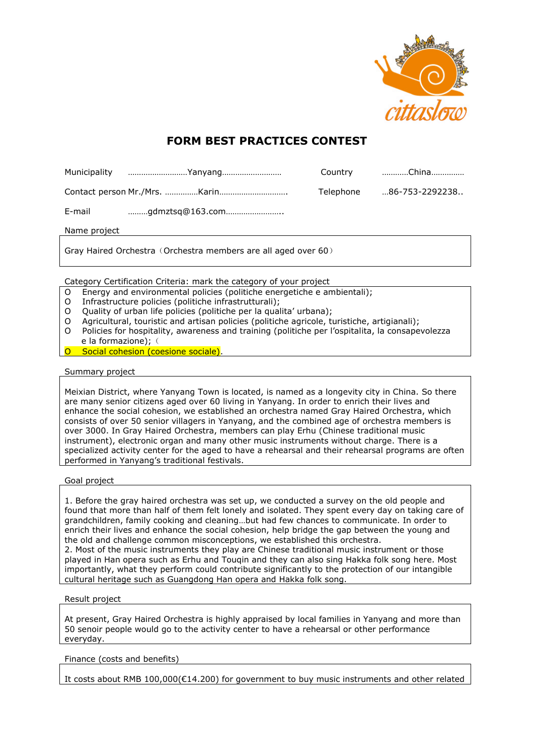

# **FORM BEST PRACTICES CONTEST**

|        | Municipality Yanyang | Country   | China          |
|--------|----------------------|-----------|----------------|
|        |                      | Telephone | 86-753-2292238 |
| E-mail | gdmztsq@163.com      |           |                |

Name project

Gray Haired Orchestra (Orchestra members are all aged over 60)

Category Certification Criteria: mark the category of your project

- O Energy and environmental policies (politiche energetiche e ambientali);
- O Infrastructure policies (politiche infrastrutturali);
- O Quality of urban life policies (politiche per la qualita' urbana);
- O Agricultural, touristic and artisan policies (politiche agricole, turistiche, artigianali);
- O Policies for hospitality, awareness and training (politiche per l'ospitalita, la consapevolezza e la formazione); (
- Social cohesion (coesione sociale).

## Summary project

Meixian District, where Yanyang Town is located, is named as a longevity city in China. So there are many senior citizens aged over 60 living in Yanyang. In order to enrich their lives and enhance the social cohesion, we established an orchestra named Gray Haired Orchestra, which consists of over 50 senior villagers in Yanyang, and the combined age of orchestra members is over 3000. In Gray Haired Orchestra, members can play Erhu (Chinese traditional music instrument), electronic organ and many other music instruments without charge. There is a specialized activity center for the aged to have a rehearsal and their rehearsal programs are often performed in Yanyang's traditional festivals.

## Goal project

1. Before the gray haired orchestra was set up, we conducted a survey on the old people and found that more than half of them felt lonely and isolated. They spent every day on taking care of grandchildren, family cooking and cleaning…but had few chances to communicate. In order to enrich their lives and enhance the social cohesion, help bridge the gap between the young and the old and challenge common misconceptions, we established this orchestra. 2. Most of the music instruments they play are Chinese traditional music instrument or those played in Han opera such as Erhu and Touqin and they can also sing Hakka folk song here. Most importantly, what they perform could [contribute significantly to](app:ds:Contribute%20significantly%20to) the protection of our [intangible](app:ds:intangible) [cultural](app:ds:cultural) [heritage](app:ds:heritage) such as Guangdong Han opera and Hakka folk song.

## Result project

At present, Gray Haired Orchestra is highly appraised by local families in Yanyang and more than 50 senoir people would go to the activity center to have a rehearsal or other performance everyday.

## Finance (costs and benefits)

It costs about RMB 100,000(€14.200) for government to buy music instruments and other related